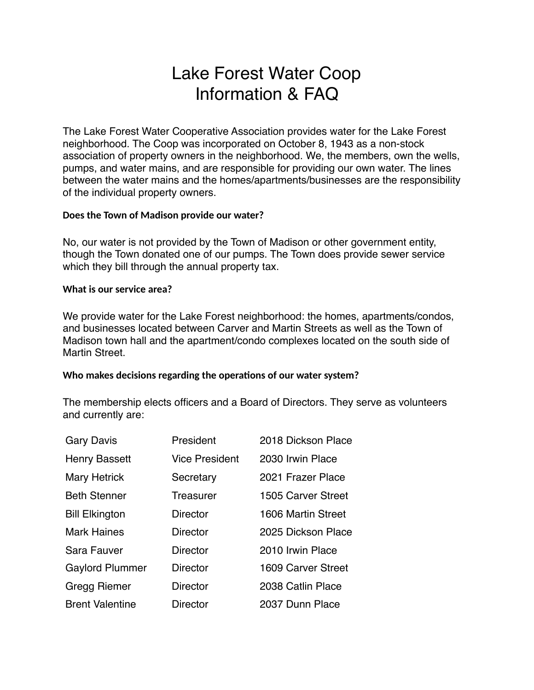# Lake Forest Water Coop Information & FAQ

The Lake Forest Water Cooperative Association provides water for the Lake Forest neighborhood. The Coop was incorporated on October 8, 1943 as a non-stock association of property owners in the neighborhood. We, the members, own the wells, pumps, and water mains, and are responsible for providing our own water. The lines between the water mains and the homes/apartments/businesses are the responsibility of the individual property owners.

## **Does the Town of Madison provide our water?**

No, our water is not provided by the Town of Madison or other government entity, though the Town donated one of our pumps. The Town does provide sewer service which they bill through the annual property tax.

### **What is our service area?**

We provide water for the Lake Forest neighborhood: the homes, apartments/condos, and businesses located between Carver and Martin Streets as well as the Town of Madison town hall and the apartment/condo complexes located on the south side of Martin Street.

### Who makes decisions regarding the operations of our water system?

The membership elects officers and a Board of Directors. They serve as volunteers and currently are:

| <b>Gary Davis</b>      | President             | 2018 Dickson Place |
|------------------------|-----------------------|--------------------|
| <b>Henry Bassett</b>   | <b>Vice President</b> | 2030 Irwin Place   |
| <b>Mary Hetrick</b>    | Secretary             | 2021 Frazer Place  |
| <b>Beth Stenner</b>    | Treasurer             | 1505 Carver Street |
| <b>Bill Elkington</b>  | Director              | 1606 Martin Street |
| <b>Mark Haines</b>     | Director              | 2025 Dickson Place |
| Sara Fauver            | Director              | 2010 Irwin Place   |
| <b>Gaylord Plummer</b> | <b>Director</b>       | 1609 Carver Street |
| Gregg Riemer           | <b>Director</b>       | 2038 Catlin Place  |
| <b>Brent Valentine</b> | <b>Director</b>       | 2037 Dunn Place    |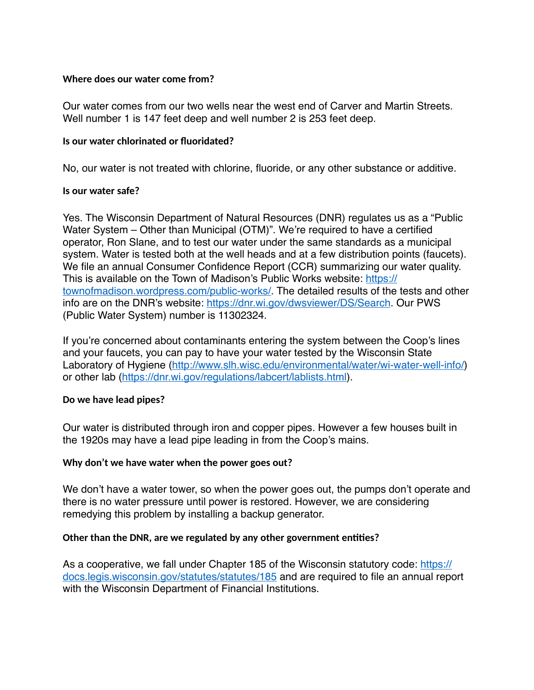### **Where does our water come from?**

Our water comes from our two wells near the west end of Carver and Martin Streets. Well number 1 is 147 feet deep and well number 2 is 253 feet deep.

#### **Is our water chlorinated or fluoridated?**

No, our water is not treated with chlorine, fluoride, or any other substance or additive.

#### **Is our water safe?**

Yes. The Wisconsin Department of Natural Resources (DNR) regulates us as a "Public Water System – Other than Municipal (OTM)". We're required to have a certified operator, Ron Slane, and to test our water under the same standards as a municipal system. Water is tested both at the well heads and at a few distribution points (faucets). We file an annual Consumer Confidence Report (CCR) summarizing our water quality. This is available on the Town of Madison's Public Works website: [https://](https://townofmadison.wordpress.com/public-works/) [townofmadison.wordpress.com/public-works/.](https://townofmadison.wordpress.com/public-works/) The detailed results of the tests and other info are on the DNR's website: [https://dnr.wi.gov/dwsviewer/DS/Search.](https://dnr.wi.gov/dwsviewer/DS/Search) Our PWS (Public Water System) number is 11302324.

If you're concerned about contaminants entering the system between the Coop's lines and your faucets, you can pay to have your water tested by the Wisconsin State Laboratory of Hygiene [\(http://www.slh.wisc.edu/environmental/water/wi-water-well-info/](http://www.slh.wisc.edu/environmental/water/wi-water-well-info/)) or other lab [\(https://dnr.wi.gov/regulations/labcert/lablists.html\)](https://dnr.wi.gov/regulations/labcert/lablists.html).

### **Do we have lead pipes?**

Our water is distributed through iron and copper pipes. However a few houses built in the 1920s may have a lead pipe leading in from the Coop's mains.

### **Why don't we have water when the power goes out?**

We don't have a water tower, so when the power goes out, the pumps don't operate and there is no water pressure until power is restored. However, we are considering remedying this problem by installing a backup generator.

### **Other than the DNR, are we regulated by any other government entities?**

As a cooperative, we fall under Chapter 185 of the Wisconsin statutory code: [https://](https://docs.legis.wisconsin.gov/statutes/statutes/185) [docs.legis.wisconsin.gov/statutes/statutes/185](https://docs.legis.wisconsin.gov/statutes/statutes/185) and are required to file an annual report with the Wisconsin Department of Financial Institutions.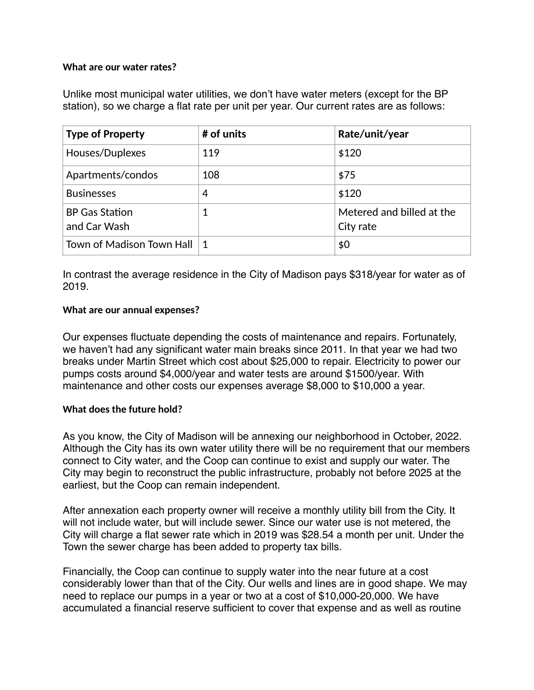## **What are our water rates?**

Unlike most municipal water utilities, we don't have water meters (except for the BP station), so we charge a flat rate per unit per year. Our current rates are as follows:

| <b>Type of Property</b>               | # of units | Rate/unit/year                         |
|---------------------------------------|------------|----------------------------------------|
| Houses/Duplexes                       | 119        | \$120                                  |
| Apartments/condos                     | 108        | \$75                                   |
| <b>Businesses</b>                     | 4          | \$120                                  |
| <b>BP Gas Station</b><br>and Car Wash |            | Metered and billed at the<br>City rate |
| Town of Madison Town Hall             | -1         | \$0                                    |

In contrast the average residence in the City of Madison pays \$318/year for water as of 2019.

## **What are our annual expenses?**

Our expenses fluctuate depending the costs of maintenance and repairs. Fortunately, we haven't had any significant water main breaks since 2011. In that year we had two breaks under Martin Street which cost about \$25,000 to repair. Electricity to power our pumps costs around \$4,000/year and water tests are around \$1500/year. With maintenance and other costs our expenses average \$8,000 to \$10,000 a year.

### **What does the future hold?**

As you know, the City of Madison will be annexing our neighborhood in October, 2022. Although the City has its own water utility there will be no requirement that our members connect to City water, and the Coop can continue to exist and supply our water. The City may begin to reconstruct the public infrastructure, probably not before 2025 at the earliest, but the Coop can remain independent.

After annexation each property owner will receive a monthly utility bill from the City. It will not include water, but will include sewer. Since our water use is not metered, the City will charge a flat sewer rate which in 2019 was \$28.54 a month per unit. Under the Town the sewer charge has been added to property tax bills.

Financially, the Coop can continue to supply water into the near future at a cost considerably lower than that of the City. Our wells and lines are in good shape. We may need to replace our pumps in a year or two at a cost of \$10,000-20,000. We have accumulated a financial reserve sufficient to cover that expense and as well as routine